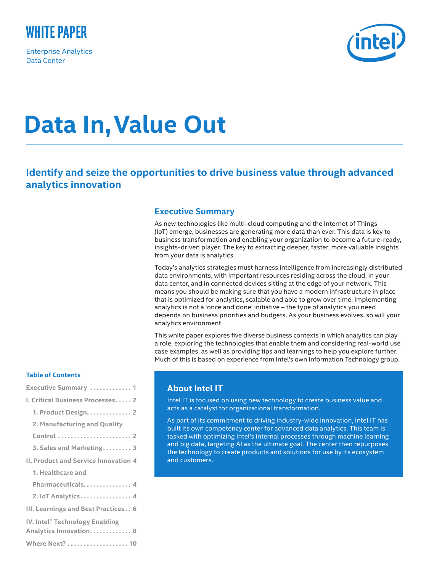

Enterprise Analytics Data Center



# **Data In, Value Out**

## **Identify and seize the opportunities to drive business value through advanced analytics innovation**

#### **Executive Summary**

As new technologies like multi-cloud computing and the Internet of Things (IoT) emerge, businesses are generating more data than ever. This data is key to business transformation and enabling your organization to become a future-ready, insights-driven player. The key to extracting deeper, faster, more valuable insights from your data is analytics.

Today's analytics strategies must harness intelligence from increasingly distributed data environments, with important resources residing across the cloud, in your data center, and in connected devices sitting at the edge of your network. This means you should be making sure that you have a modern infrastructure in place that is optimized for analytics, scalable and able to grow over time. Implementing analytics is not a 'once and done' initiative – the type of analytics you need depends on business priorities and budgets. As your business evolves, so will your analytics environment.

This white paper explores five diverse business contexts in which analytics can play a role, exploring the technologies that enable them and considering real-world use case examples, as well as providing tips and learnings to help you explore further. Much of this is based on experience from Intel's own Information Technology group.

#### **Table of Contents**

| Executive Summary  1                                     |
|----------------------------------------------------------|
| I. Critical Business Processes 2                         |
| 1. Product Design. 2                                     |
| 2. Manufacturing and Quality                             |
|                                                          |
| 3. Sales and Marketing. 3                                |
| <b>II. Product and Service Innovation 4</b>              |
| 1. Healthcare and                                        |
| Pharmaceuticals 4                                        |
| 2. IoT Analytics 4                                       |
| III. Learnings and Best Practices 6                      |
| IV. Intel® Technology Enabling<br>Analytics Innovation 8 |
| <b>Where Next?  10</b>                                   |

### **About Intel IT**

Intel IT is focused on using new technology to create business value and acts as a catalyst for organizational transformation.

As part of its commitment to driving industry-wide innovation, Intel IT has built its own competency center for advanced data analytics. This team is tasked with optimizing Intel's internal processes through machine learning and big data, targeting AI as the ultimate goal. The center then repurposes the technology to create products and solutions for use by its ecosystem and customers.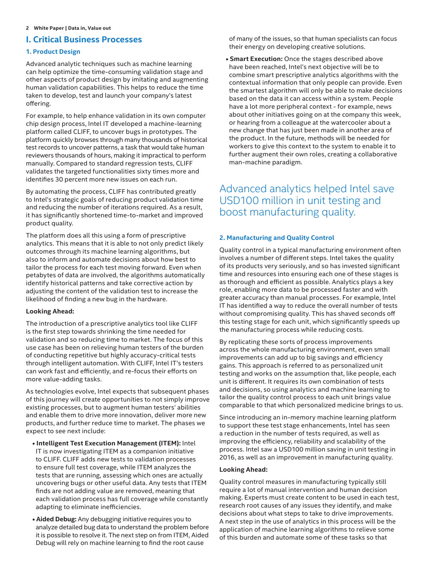## <span id="page-1-0"></span>**I. Critical Business Processes**

#### **1. Product Design**

Advanced analytic techniques such as machine learning can help optimize the time-consuming validation stage and other aspects of product design by imitating and augmenting human validation capabilities. This helps to reduce the time taken to develop, test and launch your company's latest offering.

For example, to help enhance validation in its own computer chip design process, Intel IT developed a machine-learning platform called CLIFF, to uncover bugs in prototypes. The platform quickly browses through many thousands of historical test records to uncover patterns, a task that would take human reviewers thousands of hours, making it impractical to perform manually. Compared to standard regression tests, CLIFF validates the targeted functionalities sixty times more and identifies 30 percent more new issues on each run.

By automating the process, CLIFF has contributed greatly to Intel's strategic goals of reducing product validation time and reducing the number of iterations required. As a result, it has significantly shortened time-to-market and improved product quality.

The platform does all this using a form of prescriptive analytics. This means that it is able to not only predict likely outcomes through its machine learning algorithms, but also to inform and automate decisions about how best to tailor the process for each test moving forward. Even when petabytes of data are involved, the algorithms automatically identify historical patterns and take corrective action by adjusting the content of the validation test to increase the likelihood of finding a new bug in the hardware.

#### **Looking Ahead:**

The introduction of a prescriptive analytics tool like CLIFF is the first step towards shrinking the time needed for validation and so reducing time to market. The focus of this use case has been on relieving human testers of the burden of conducting repetitive but highly accuracy-critical tests through intelligent automation. With CLIFF, Intel IT's testers can work fast and efficiently, and re-focus their efforts on more value-adding tasks.

As technologies evolve, Intel expects that subsequent phases of this journey will create opportunities to not simply improve existing processes, but to augment human testers' abilities and enable them to drive more innovation, deliver more new products, and further reduce time to market. The phases we expect to see next include:

- **Intelligent Test Execution Management (ITEM):** Intel IT is now investigating ITEM as a companion initiative to CLIFF. CLIFF adds new tests to validation processes to ensure full test coverage, while ITEM analyzes the tests that are running, assessing which ones are actually uncovering bugs or other useful data. Any tests that ITEM finds are not adding value are removed, meaning that each validation process has full coverage while constantly adapting to eliminate inefficiencies.
- **Aided Debug:** Any debugging initiative requires you to analyze detailed bug data to understand the problem before it is possible to resolve it. The next step on from ITEM, Aided Debug will rely on machine learning to find the root cause

of many of the issues, so that human specialists can focus their energy on developing creative solutions.

**• Smart Execution:** Once the stages described above have been reached, Intel's next objective will be to combine smart prescriptive analytics algorithms with the contextual information that only people can provide. Even the smartest algorithm will only be able to make decisions based on the data it can access within a system. People have a lot more peripheral context - for example, news about other initiatives going on at the company this week, or hearing from a colleague at the watercooler about a new change that has just been made in another area of the product. In the future, methods will be needed for workers to give this context to the system to enable it to further augment their own roles, creating a collaborative man-machine paradigm.

## Advanced analytics helped Intel save USD100 million in unit testing and boost manufacturing quality.

#### **2. Manufacturing and Quality Control**

Quality control in a typical manufacturing environment often involves a number of different steps. Intel takes the quality of its products very seriously, and so has invested significant time and resources into ensuring each one of these stages is as thorough and efficient as possible. Analytics plays a key role, enabling more data to be processed faster and with greater accuracy than manual processes. For example, Intel IT has identified a way to reduce the overall number of tests without compromising quality. This has shaved seconds off this testing stage for each unit, which significantly speeds up the manufacturing process while reducing costs.

By replicating these sorts of process improvements across the whole manufacturing environment, even small improvements can add up to big savings and efficiency gains. This approach is referred to as personalized unit testing and works on the assumption that, like people, each unit is different. It requires its own combination of tests and decisions, so using analytics and machine learning to tailor the quality control process to each unit brings value comparable to that which personalized medicine brings to us.

Since introducing an in-memory machine learning platform to support these test stage enhancements, Intel has seen a reduction in the number of tests required, as well as improving the efficiency, reliability and scalability of the process. Intel saw a USD100 million saving in unit testing in 2016, as well as an improvement in manufacturing quality.

#### **Looking Ahead:**

Quality control measures in manufacturing typically still require a lot of manual intervention and human decision making. Experts must create content to be used in each test, research root causes of any issues they identify, and make decisions about what steps to take to drive improvements. A next step in the use of analytics in this process will be the application of machine learning algorithms to relieve some of this burden and automate some of these tasks so that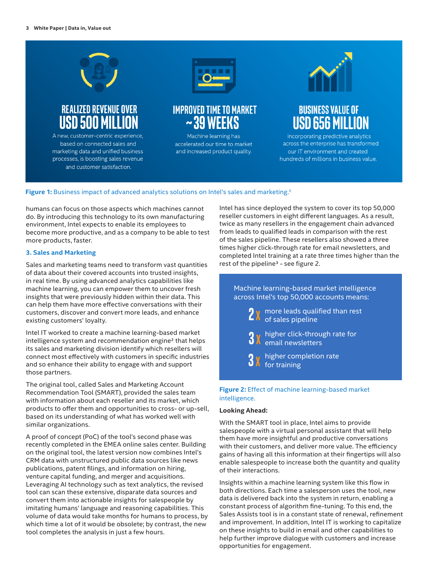

#### **Figure 1:** Business impact of advanced analytics solutions on Intel's sales and marketing.1

humans can focus on those aspects which machines cannot do. By introducing this technology to its own manufacturing environment, Intel expects to enable its employees to become more productive, and as a company to be able to test more products, faster.

#### **3. Sales and Marketing**

Sales and marketing teams need to transform vast quantities of data about their covered accounts into trusted insights, in real time. By using advanced analytics capabilities like machine learning, you can empower them to uncover fresh insights that were previously hidden within their data. This can help them have more effective conversations with their customers, discover and convert more leads, and enhance existing customers' loyalty.

Intel IT worked to create a machine learning-based market intelligence system and recommendation engine<sup>2</sup> that helps its sales and marketing division identify which resellers will connect most effectively with customers in specific industries and so enhance their ability to engage with and support those partners.

The original tool, called Sales and Marketing Account Recommendation Tool (SMART), provided the sales team with information about each reseller and its market, which products to offer them and opportunities to cross- or up-sell, based on its understanding of what has worked well with similar organizations.

A proof of concept (PoC) of the tool's second phase was recently completed in the EMEA online sales center. Building on the original tool, the latest version now combines Intel's CRM data with unstructured public data sources like news publications, patent filings, and information on hiring, venture capital funding, and merger and acquisitions. Leveraging AI technology such as text analytics, the revised tool can scan these extensive, disparate data sources and convert them into actionable insights for salespeople by imitating humans' language and reasoning capabilities. This volume of data would take months for humans to process, by which time a lot of it would be obsolete; by contrast, the new tool completes the analysis in just a few hours.

Intel has since deployed the system to cover its top 50,000 reseller customers in eight different languages. As a result, twice as many resellers in the engagement chain advanced from leads to qualified leads in comparison with the rest of the sales pipeline. These resellers also showed a three times higher click-through rate for email newsletters, and completed Intel training at a rate three times higher than the rest of the pipeline<sup>3</sup> - see figure 2.

## Machine learning-based market intelligence across Intel's top 50,000 accounts means:

- more leads qualified than rest of sales pipeline
- higher click-through rate for email newsletters
- higher completion rate for training

#### **Figure 2:** Effect of machine learning-based market intelligence.

#### **Looking Ahead:**

With the SMART tool in place, Intel aims to provide salespeople with a virtual personal assistant that will help them have more insightful and productive conversations with their customers, and deliver more value. The efficiency gains of having all this information at their fingertips will also enable salespeople to increase both the quantity and quality of their interactions.

Insights within a machine learning system like this flow in both directions. Each time a salesperson uses the tool, new data is delivered back into the system in return, enabling a constant process of algorithm fine-tuning. To this end, the Sales Assists tool is in a constant state of renewal, refinement and improvement. In addition, Intel IT is working to capitalize on these insights to build in email and other capabilities to help further improve dialogue with customers and increase opportunities for engagement.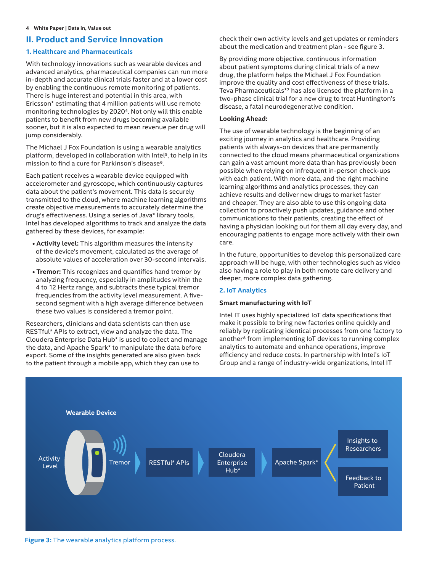## <span id="page-3-0"></span>**II. Product and Service Innovation**

#### **1. Healthcare and Pharmaceuticals**

With technology innovations such as wearable devices and advanced analytics, pharmaceutical companies can run more in-depth and accurate clinical trials faster and at a lower cost by enabling the continuous remote monitoring of patients. There is huge interest and potential in this area, with Ericsson\* estimating that 4 million patients will use remote monitoring technologies by 20204. Not only will this enable patients to benefit from new drugs becoming available sooner, but it is also expected to mean revenue per drug will jump considerably.

The Michael J Fox Foundation is using a wearable analytics platform, developed in collaboration with Intel<sup>5</sup>, to help in its mission to find a cure for Parkinson's disease<sup>6</sup>.

Each patient receives a wearable device equipped with accelerometer and gyroscope, which continuously captures data about the patient's movement. This data is securely transmitted to the cloud, where machine learning algorithms create objective measurements to accurately determine the drug's effectiveness. Using a series of Java\* library tools, Intel has developed algorithms to track and analyze the data gathered by these devices, for example:

- **Activity level:** This algorithm measures the intensity of the device's movement, calculated as the average of absolute values of acceleration over 30-second intervals.
- **Tremor:** This recognizes and quantifies hand tremor by analyzing frequency, especially in amplitudes within the 4 to 12 Hertz range, and subtracts these typical tremor frequencies from the activity level measurement. A fivesecond segment with a high average difference between these two values is considered a tremor point.

Researchers, clinicians and data scientists can then use RESTful\* APIs to extract, view and analyze the data. The Cloudera Enterprise Data Hub\* is used to collect and manage the data, and Apache Spark\* to manipulate the data before export. Some of the insights generated are also given back to the patient through a mobile app, which they can use to

check their own activity levels and get updates or reminders about the medication and treatment plan - see figure 3.

By providing more objective, continuous information about patient symptoms during clinical trials of a new drug, the platform helps the Michael J Fox Foundation improve the quality and cost effectiveness of these trials. Teva Pharmaceuticals\*7 has also licensed the platform in a two-phase clinical trial for a new drug to treat Huntington's disease, a fatal neurodegenerative condition.

#### **Looking Ahead:**

The use of wearable technology is the beginning of an exciting journey in analytics and healthcare. Providing patients with always-on devices that are permanently connected to the cloud means pharmaceutical organizations can gain a vast amount more data than has previously been possible when relying on infrequent in-person check-ups with each patient. With more data, and the right machine learning algorithms and analytics processes, they can achieve results and deliver new drugs to market faster and cheaper. They are also able to use this ongoing data collection to proactively push updates, guidance and other communications to their patients, creating the effect of having a physician looking out for them all day every day, and encouraging patients to engage more actively with their own care.

In the future, opportunities to develop this personalized care approach will be huge, with other technologies such as video also having a role to play in both remote care delivery and deeper, more complex data gathering.

#### **2. IoT Analytics**

#### **Smart manufacturing with IoT**

Intel IT uses highly specialized IoT data specifications that make it possible to bring new factories online quickly and reliably by replicating identical processes from one factory to another8 from implementing IoT devices to running complex analytics to automate and enhance operations, improve efficiency and reduce costs. In partnership with Intel's IoT Group and a range of industry-wide organizations, Intel IT



**Figure 3:** The wearable analytics platform process.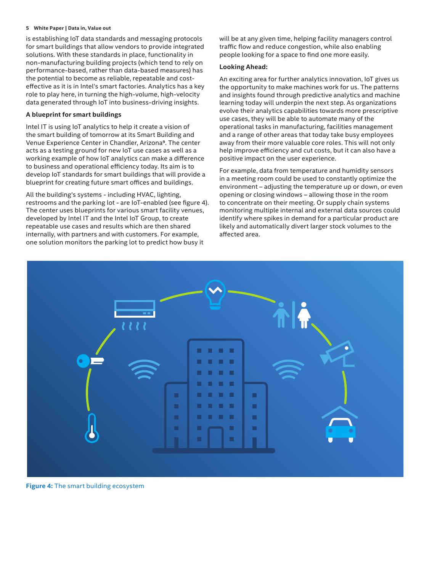#### **5 White Paper | Data in, Value out**

is establishing IoT data standards and messaging protocols for smart buildings that allow vendors to provide integrated solutions. With these standards in place, functionality in non-manufacturing building projects (which tend to rely on performance-based, rather than data-based measures) has the potential to become as reliable, repeatable and costeffective as it is in Intel's smart factories. Analytics has a key role to play here, in turning the high-volume, high-velocity data generated through IoT into business-driving insights.

#### **A blueprint for smart buildings**

Intel IT is using IoT analytics to help it create a vision of the smart building of tomorrow at its Smart Building and Venue Experience Center in Chandler, Arizona9. The center acts as a testing ground for new IoT use cases as well as a working example of how IoT analytics can make a difference to business and operational efficiency today. Its aim is to develop IoT standards for smart buildings that will provide a blueprint for creating future smart offices and buildings.

All the building's systems - including HVAC, lighting, restrooms and the parking lot - are IoT-enabled (see figure 4). The center uses blueprints for various smart facility venues, developed by Intel IT and the Intel IoT Group, to create repeatable use cases and results which are then shared internally, with partners and with customers. For example, one solution monitors the parking lot to predict how busy it

will be at any given time, helping facility managers control traffic flow and reduce congestion, while also enabling people looking for a space to find one more easily.

#### **Looking Ahead:**

An exciting area for further analytics innovation, IoT gives us the opportunity to make machines work for us. The patterns and insights found through predictive analytics and machine learning today will underpin the next step. As organizations evolve their analytics capabilities towards more prescriptive use cases, they will be able to automate many of the operational tasks in manufacturing, facilities management and a range of other areas that today take busy employees away from their more valuable core roles. This will not only help improve efficiency and cut costs, but it can also have a positive impact on the user experience.

For example, data from temperature and humidity sensors in a meeting room could be used to constantly optimize the environment – adjusting the temperature up or down, or even opening or closing windows – allowing those in the room to concentrate on their meeting. Or supply chain systems monitoring multiple internal and external data sources could identify where spikes in demand for a particular product are likely and automatically divert larger stock volumes to the affected area.



**Figure 4:** The smart building ecosystem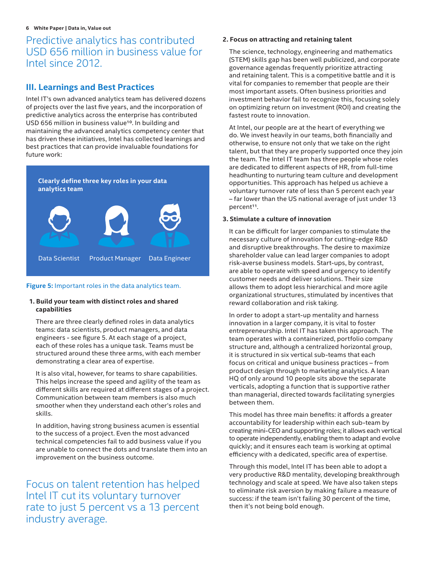## <span id="page-5-0"></span>Predictive analytics has contributed USD 656 million in business value for Intel since 2012.

## **III. Learnings and Best Practices**

Intel IT's own advanced analytics team has delivered dozens of projects over the last five years, and the incorporation of predictive analytics across the enterprise has contributed USD 656 million in business value<sup>10</sup>. In building and maintaining the advanced analytics competency center that has driven these initiatives, Intel has collected learnings and best practices that can provide invaluable foundations for future work:



#### **Figure 5:** Important roles in the data analytics team.

#### **1. Build your team with distinct roles and shared capabilities**

There are three clearly defined roles in data analytics teams: data scientists, product managers, and data engineers - see figure 5. At each stage of a project, each of these roles has a unique task. Teams must be structured around these three arms, with each member demonstrating a clear area of expertise.

It is also vital, however, for teams to share capabilities. This helps increase the speed and agility of the team as different skills are required at different stages of a project. Communication between team members is also much smoother when they understand each other's roles and skills.

In addition, having strong business acumen is essential to the success of a project. Even the most advanced technical competencies fail to add business value if you are unable to connect the dots and translate them into an improvement on the business outcome.

Focus on talent retention has helped Intel IT cut its voluntary turnover rate to just 5 percent vs a 13 percent industry average.

#### **2. Focus on attracting and retaining talent**

The science, technology, engineering and mathematics (STEM) skills gap has been well publicized, and corporate governance agendas frequently prioritize attracting and retaining talent. This is a competitive battle and it is vital for companies to remember that people are their most important assets. Often business priorities and investment behavior fail to recognize this, focusing solely on optimizing return on investment (ROI) and creating the fastest route to innovation.

At Intel, our people are at the heart of everything we do. We invest heavily in our teams, both financially and otherwise, to ensure not only that we take on the right talent, but that they are properly supported once they join the team. The Intel IT team has three people whose roles are dedicated to different aspects of HR, from full-time headhunting to nurturing team culture and development opportunities. This approach has helped us achieve a voluntary turnover rate of less than 5 percent each year – far lower than the US national average of just under 13 percent<sup>11</sup>.

#### **3. Stimulate a culture of innovation**

It can be difficult for larger companies to stimulate the necessary culture of innovation for cutting-edge R&D and disruptive breakthroughs. The desire to maximize shareholder value can lead larger companies to adopt risk-averse business models. Start-ups, by contrast, are able to operate with speed and urgency to identify customer needs and deliver solutions. Their size allows them to adopt less hierarchical and more agile organizational structures, stimulated by incentives that reward collaboration and risk taking.

In order to adopt a start-up mentality and harness innovation in a larger company, it is vital to foster entrepreneurship. Intel IT has taken this approach. The team operates with a containerized, portfolio company structure and, although a centralized horizontal group, it is structured in six vertical sub-teams that each focus on critical and unique business practices – from product design through to marketing analytics. A lean HQ of only around 10 people sits above the separate verticals, adopting a function that is supportive rather than managerial, directed towards facilitating synergies between them.

This model has three main benefits: it affords a greater accountability for leadership within each sub-team by creating mini-CEO and supporting roles; it allows each vertical to operate independently, enabling them to adapt and evolve quickly; and it ensures each team is working at optimal efficiency with a dedicated, specific area of expertise.

Through this model, Intel IT has been able to adopt a very productive R&D mentality, developing breakthrough technology and scale at speed. We have also taken steps to eliminate risk aversion by making failure a measure of success: if the team isn't failing 30 percent of the time, then it's not being bold enough.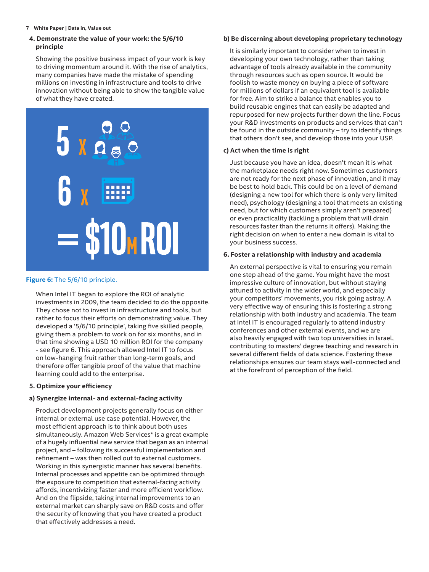**7 White Paper | Data in, Value out**

#### **4. Demonstrate the value of your work: the 5/6/10 principle**

Showing the positive business impact of your work is key to driving momentum around it. With the rise of analytics, many companies have made the mistake of spending millions on investing in infrastructure and tools to drive innovation without being able to show the tangible value of what they have created.



**Figure 6:** The 5/6/10 principle.

When Intel IT began to explore the ROI of analytic investments in 2009, the team decided to do the opposite. They chose not to invest in infrastructure and tools, but rather to focus their efforts on demonstrating value. They developed a '5/6/10 principle', taking five skilled people, giving them a problem to work on for six months, and in that time showing a USD 10 million ROI for the company - see figure 6. This approach allowed Intel IT to focus on low-hanging fruit rather than long-term goals, and therefore offer tangible proof of the value that machine learning could add to the enterprise.

## **5. Optimize your efficiency**

## **a) Synergize internal- and external-facing activity**

Product development projects generally focus on either internal or external use case potential. However, the most efficient approach is to think about both uses simultaneously. Amazon Web Services\* is a great example of a hugely influential new service that began as an internal project, and – following its successful implementation and refinement – was then rolled out to external customers. Working in this synergistic manner has several benefits. Internal processes and appetite can be optimized through the exposure to competition that external-facing activity affords, incentivizing faster and more efficient workflow. And on the flipside, taking internal improvements to an external market can sharply save on R&D costs and offer the security of knowing that you have created a product that effectively addresses a need.

## **b) Be discerning about developing proprietary technology**

It is similarly important to consider when to invest in developing your own technology, rather than taking advantage of tools already available in the community through resources such as open source. It would be foolish to waste money on buying a piece of software for millions of dollars if an equivalent tool is available for free. Aim to strike a balance that enables you to build reusable engines that can easily be adapted and repurposed for new projects further down the line. Focus your R&D investments on products and services that can't be found in the outside community – try to identify things that others don't see, and develop those into your USP.

## **c) Act when the time is right**

Just because you have an idea, doesn't mean it is what the marketplace needs right now. Sometimes customers are not ready for the next phase of innovation, and it may be best to hold back. This could be on a level of demand (designing a new tool for which there is only very limited need), psychology (designing a tool that meets an existing need, but for which customers simply aren't prepared) or even practicality (tackling a problem that will drain resources faster than the returns it offers). Making the right decision on when to enter a new domain is vital to your business success.

## **6. Foster a relationship with industry and academia**

An external perspective is vital to ensuring you remain one step ahead of the game. You might have the most impressive culture of innovation, but without staying attuned to activity in the wider world, and especially your competitors' movements, you risk going astray. A very effective way of ensuring this is fostering a strong relationship with both industry and academia. The team at Intel IT is encouraged regularly to attend industry conferences and other external events, and we are also heavily engaged with two top universities in Israel, contributing to masters' degree teaching and research in several different fields of data science. Fostering these relationships ensures our team stays well-connected and at the forefront of perception of the field.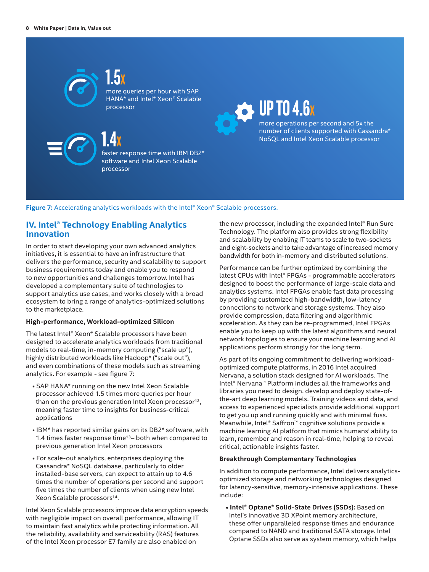<span id="page-7-0"></span>

more queries per hour with SAP HANA\* and Intel® Xeon® Scalable processor

faster response time with IBM DB2\* software and Intel Xeon Scalable



## **B** UP TO 4.6

more operations per second and 5x the number of clients supported with Cassandra\* NoSQL and Intel Xeon Scalable processor

#### **Figure 7:** Accelerating analytics workloads with the Intel**®** Xeon**®** Scalable processors.

#### **IV. Intel® Technology Enabling Analytics Innovation**

processor

In order to start developing your own advanced analytics initiatives, it is essential to have an infrastructure that delivers the performance, security and scalability to support business requirements today and enable you to respond to new opportunities and challenges tomorrow. Intel has developed a complementary suite of technologies to support analytics use cases, and works closely with a broad ecosystem to bring a range of analytics-optimized solutions to the marketplace.

#### **High-performance, Workload-optimized Silicon**

The latest Intel® Xeon® Scalable processors have been designed to accelerate analytics workloads from traditional models to real-time, in-memory computing ("scale up"), highly distributed workloads like Hadoop\* ("scale out"), and even combinations of these models such as streaming analytics. For example - see figure 7:

- SAP HANA\* running on the new Intel Xeon Scalable processor achieved 1.5 times more queries per hour than on the previous generation Intel Xeon processor<sup>12</sup>, meaning faster time to insights for business-critical applications
- IBM\* has reported similar gains on its DB2\* software, with 1.4 times faster response time<sup>13</sup>– both when compared to previous generation Intel Xeon processors
- For scale-out analytics, enterprises deploying the Cassandra\* NoSQL database, particularly to older installed-base servers, can expect to attain up to 4.6 times the number of operations per second and support five times the number of clients when using new Intel Xeon Scalable processors14.

Intel Xeon Scalable processors improve data encryption speeds with negligible impact on overall performance, allowing IT to maintain fast analytics while protecting information. All the reliability, availability and serviceability (RAS) features of the Intel Xeon processor E7 family are also enabled on

the new processor, including the expanded Intel® Run Sure Technology. The platform also provides strong flexibility and scalability by enabling IT teams to scale to two-sockets and eight-sockets and to take advantage of increased memory bandwidth for both in-memory and distributed solutions.

Performance can be further optimized by combining the latest CPUs with Intel® FPGAs - programmable accelerators designed to boost the performance of large-scale data and analytics systems. Intel FPGAs enable fast data processing by providing customized high-bandwidth, low-latency connections to network and storage systems. They also provide compression, data filtering and algorithmic acceleration. As they can be re-programmed, Intel FPGAs enable you to keep up with the latest algorithms and neural network topologies to ensure your machine learning and AI applications perform strongly for the long term.

As part of its ongoing commitment to delivering workloadoptimized compute platforms, in 2016 Intel acquired Nervana, a solution stack designed for AI workloads. The Intel® Nervana™ Platform includes all the frameworks and libraries you need to design, develop and deploy state-ofthe-art deep learning models. Training videos and data, and access to experienced specialists provide additional support to get you up and running quickly and with minimal fuss. Meanwhile, Intel® Saffron™ cognitive solutions provide a machine learning AI platform that mimics humans' ability to learn, remember and reason in real-time, helping to reveal critical, actionable insights faster.

#### **Breakthrough Complementary Technologies**

In addition to compute performance, Intel delivers analyticsoptimized storage and networking technologies designed for latency-sensitive, memory-intensive applications. These include:

**• Intel® Optane® Solid-State Drives (SSDs):** Based on Intel's innovative 3D XPoint memory architecture, these offer unparalleled response times and endurance compared to NAND and traditional SATA storage. Intel Optane SSDs also serve as system memory, which helps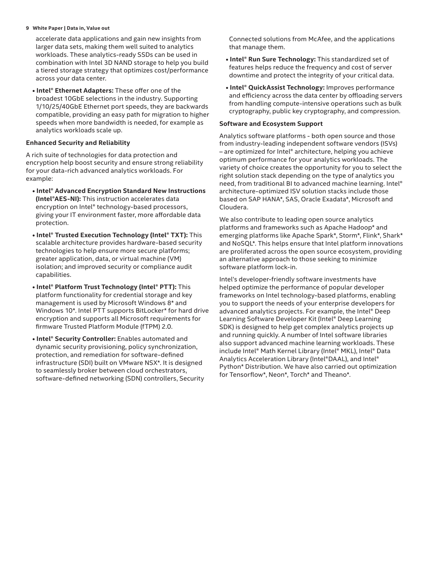#### **9 White Paper | Data in, Value out**

accelerate data applications and gain new insights from larger data sets, making them well suited to analytics workloads. These analytics-ready SSDs can be used in combination with Intel 3D NAND storage to help you build a tiered storage strategy that optimizes cost/performance across your data center.

**• Intel® Ethernet Adapters:** These offer one of the broadest 10GbE selections in the industry. Supporting 1/10/25/40GbE Ethernet port speeds, they are backwards compatible, providing an easy path for migration to higher speeds when more bandwidth is needed, for example as analytics workloads scale up.

#### **Enhanced Security and Reliability**

A rich suite of technologies for data protection and encryption help boost security and ensure strong reliability for your data-rich advanced analytics workloads. For example:

- **Intel® Advanced Encryption Standard New Instructions (Intel®AES-NI):** This instruction accelerates data encryption on Intel® technology-based processors, giving your IT environment faster, more affordable data protection.
- **Intel® Trusted Execution Technology (Intel® TXT):** This scalable architecture provides hardware-based security technologies to help ensure more secure platforms; greater application, data, or virtual machine (VM) isolation; and improved security or compliance audit capabilities.
- **Intel® Platform Trust Technology (Intel® PTT):** This platform functionality for credential storage and key management is used by Microsoft Windows 8\* and Windows 10\*. Intel PTT supports BitLocker\* for hard drive encryption and supports all Microsoft requirements for firmware Trusted Platform Module (fTPM) 2.0.
- **Intel® Security Controller:** Enables automated and dynamic security provisioning, policy synchronization, protection, and remediation for software-defined infrastructure (SDI) built on VMware NSX\*. It is designed to seamlessly broker between cloud orchestrators, software-defined networking (SDN) controllers, Security

Connected solutions from McAfee, and the applications that manage them.

- **Intel® Run Sure Technology:** This standardized set of features helps reduce the frequency and cost of server downtime and protect the integrity of your critical data.
- **Intel® QuickAssist Technology:** Improves performance and efficiency across the data center by offloading servers from handling compute-intensive operations such as bulk cryptography, public key cryptography, and compression.

#### **Software and Ecosystem Support**

Analytics software platforms - both open source and those from industry-leading independent software vendors (ISVs) – are optimized for Intel® architecture, helping you achieve optimum performance for your analytics workloads. The variety of choice creates the opportunity for you to select the right solution stack depending on the type of analytics you need, from traditional BI to advanced machine learning. Intel® architecture-optimized ISV solution stacks include those based on SAP HANA\*, SAS, Oracle Exadata\*, Microsoft and Cloudera.

We also contribute to leading open source analytics platforms and frameworks such as Apache Hadoop\* and emerging platforms like Apache Spark\*, Storm\*, Flink\*, Shark\* and NoSQL\*. This helps ensure that Intel platform innovations are proliferated across the open source ecosystem, providing an alternative approach to those seeking to minimize software platform lock-in.

Intel's developer-friendly software investments have helped optimize the performance of popular developer frameworks on Intel technology-based platforms, enabling you to support the needs of your enterprise developers for advanced analytics projects. For example, the Intel® Deep Learning Software Developer Kit (Intel® Deep Learning SDK) is designed to help get complex analytics projects up and running quickly. A number of Intel software libraries also support advanced machine learning workloads. These include Intel® Math Kernel Library (Intel® MKL), Intel® Data Analytics Acceleration Library (Intel®DAAL), and Intel® Python\* Distribution. We have also carried out optimization for Tensorflow\*, Neon\*, Torch\* and Theano\*.